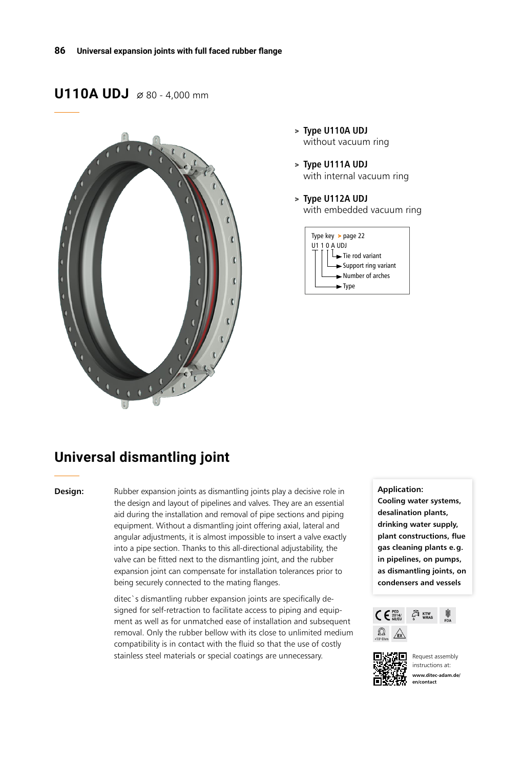## **U110A UDJ**  $\alpha$  80 - 4,000 mm



- > **Type U110A UDJ** without vacuum ring
- > **Type U111A UDJ** with internal vacuum ring
- > **Type U112A UDJ** with embedded vacuum ring



# **Universal dismantling joint**

**Design:** Rubber expansion joints as dismantling joints play a decisive role in the design and layout of pipelines and valves. They are an essential aid during the installation and removal of pipe sections and piping equipment. Without a dismantling joint offering axial, lateral and angular adjustments, it is almost impossible to insert a valve exactly into a pipe section. Thanks to this all-directional adjustability, the valve can be fitted next to the dismantling joint, and the rubber expansion joint can compensate for installation tolerances prior to being securely connected to the mating flanges.

> ditec`s dismantling rubber expansion joints are specifically designed for self-retraction to facilitate access to piping and equipment as well as for unmatched ease of installation and subsequent removal. Only the rubber bellow with its close to unlimited medium compatibility is in contact with the fluid so that the use of costly stainless steel materials or special coatings are unnecessary. **Request assembly** Request assembly

#### **Application:**

**Cooling water systems, desalination plants, drinking water supply, plant constructions, flue gas cleaning plants e.g. in pipelines, on pumps, as dismantling joints, on condensers and vessels**





instructions at: **www.ditec-adam.de/ en/contact**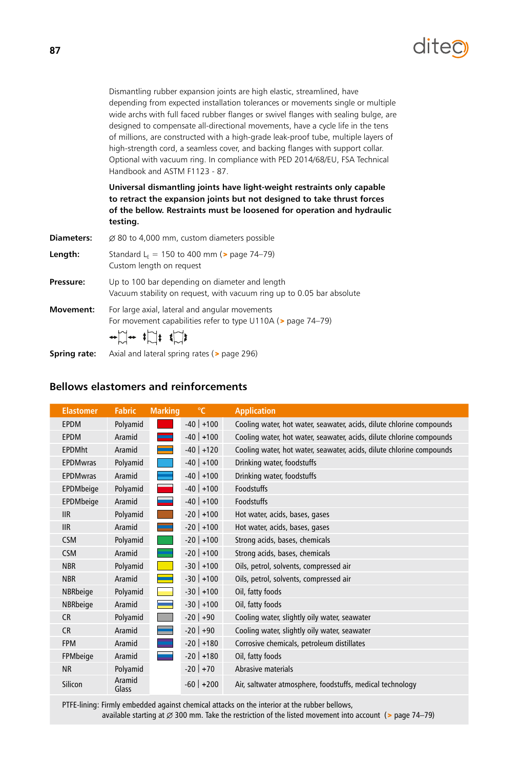

Dismantling rubber expansion joints are high elastic, streamlined, have depending from expected installation tolerances or movements single or multiple wide archs with full faced rubber flanges or swivel flanges with sealing bulge, are designed to compensate all-directional movements, have a cycle life in the tens of millions, are constructed with a high-grade leak-proof tube, multiple layers of high-strength cord, a seamless cover, and backing flanges with support collar. Optional with vacuum ring. In compliance with PED 2014/68/EU, FSA Technical Handbook and ASTM F1123 - 87.

**Universal dismantling joints have light-weight restraints only capable to retract the expansion joints but not designed to take thrust forces of the bellow. Restraints must be loosened for operation and hydraulic testing.**

| <b>Diameters:</b> | $\varnothing$ 80 to 4,000 mm, custom diameters possible                                                                                                                                                                                                                                                                                                                                                                                                                              |
|-------------------|--------------------------------------------------------------------------------------------------------------------------------------------------------------------------------------------------------------------------------------------------------------------------------------------------------------------------------------------------------------------------------------------------------------------------------------------------------------------------------------|
| Length:           | Standard L <sub>F</sub> = 150 to 400 mm ( $>$ page 74–79)<br>Custom length on request                                                                                                                                                                                                                                                                                                                                                                                                |
| Pressure:         | Up to 100 bar depending on diameter and length<br>Vacuum stability on request, with vacuum ring up to 0.05 bar absolute                                                                                                                                                                                                                                                                                                                                                              |
| Movement:         | For large axial, lateral and angular movements<br>For movement capabilities refer to type U110A (> page 74-79)<br>$\begin{picture}(150,10) \put(0,0){\vector(1,0){100}} \put(15,0){\vector(1,0){100}} \put(15,0){\vector(1,0){100}} \put(15,0){\vector(1,0){100}} \put(15,0){\vector(1,0){100}} \put(15,0){\vector(1,0){100}} \put(15,0){\vector(1,0){100}} \put(15,0){\vector(1,0){100}} \put(15,0){\vector(1,0){100}} \put(15,0){\vector(1,0){100}} \put(15,0){\vector(1,0){100}}$ |

**Spring rate:** Axial and lateral spring rates (> page 296)

#### **Bellows elastomers and reinforcements**

| <b>Elastomer</b>        | <b>Fabric</b>   | <b>Marking</b> | $\mathrm{C}$   | <b>Application</b>                                                   |
|-------------------------|-----------------|----------------|----------------|----------------------------------------------------------------------|
| <b>EPDM</b>             | Polyamid        |                | $-40$ +100     | Cooling water, hot water, seawater, acids, dilute chlorine compounds |
| <b>EPDM</b>             | Aramid          |                | $-40$ +100     | Cooling water, hot water, seawater, acids, dilute chlorine compounds |
| <b>EPDMht</b>           | Aramid          |                | $-40$ +120     | Cooling water, hot water, seawater, acids, dilute chlorine compounds |
| <b>EPDMwras</b>         | Polyamid        |                | $-40$ +100     | Drinking water, foodstuffs                                           |
| <b>EPDMwras</b>         | Aramid          |                | $-40$ +100     | Drinking water, foodstuffs                                           |
| EPDMbeige               | Polyamid        |                | $-40$ +100     | <b>Foodstuffs</b>                                                    |
| EPDMbeige               | Aramid          |                | $-40$ +100     | Foodstuffs                                                           |
| $\overline{\text{IIR}}$ | Polyamid        |                | $-20$   $+100$ | Hot water, acids, bases, gases                                       |
| <b>IIR</b>              | Aramid          |                | $-20$ +100     | Hot water, acids, bases, gases                                       |
| <b>CSM</b>              | Polyamid        |                | $-20$ +100     | Strong acids, bases, chemicals                                       |
| <b>CSM</b>              | Aramid          |                | $-20$   $+100$ | Strong acids, bases, chemicals                                       |
| <b>NBR</b>              | Polyamid        |                | $-30$ +100     | Oils, petrol, solvents, compressed air                               |
| <b>NBR</b>              | Aramid          |                | $-30$ +100     | Oils, petrol, solvents, compressed air                               |
| NBRbeige                | Polyamid        |                | $-30$ +100     | Oil, fatty foods                                                     |
| <b>NBRbeige</b>         | Aramid          |                | $-30$ +100     | Oil, fatty foods                                                     |
| <b>CR</b>               | Polyamid        |                | $-20$ +90      | Cooling water, slightly oily water, seawater                         |
| CR                      | Aramid          |                | $-20$ +90      | Cooling water, slightly oily water, seawater                         |
| <b>FPM</b>              | Aramid          |                | $-20$ +180     | Corrosive chemicals, petroleum distillates                           |
| FPMbeige                | Aramid          |                | $-20$ +180     | Oil, fatty foods                                                     |
| <b>NR</b>               | Polyamid        |                | $-20$ +70      | Abrasive materials                                                   |
| Silicon                 | Aramid<br>Glass |                | $-60$ +200     | Air, saltwater atmosphere, foodstuffs, medical technology            |

PTFE-lining: Firmly embedded against chemical attacks on the interior at the rubber bellows, available starting at  $\varnothing$  300 mm. Take the restriction of the listed movement into account (> page 74–79)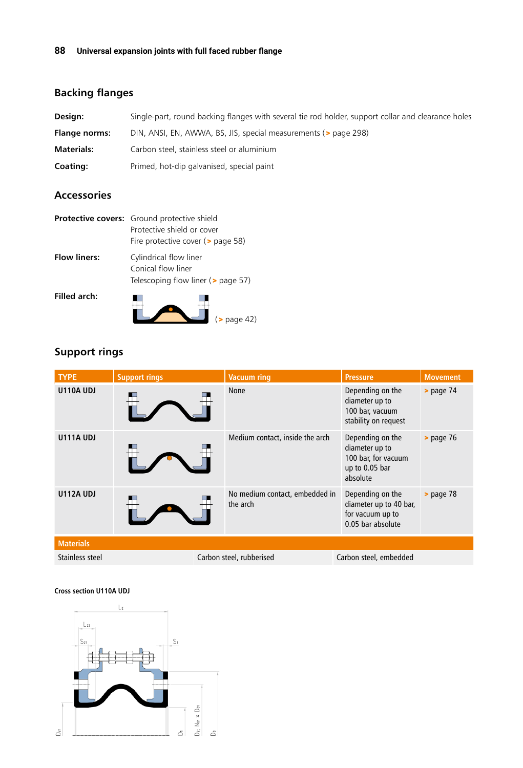# **Backing flanges**

| Design:              | Single-part, round backing flanges with several tie rod holder, support collar and clearance holes |
|----------------------|----------------------------------------------------------------------------------------------------|
| <b>Flange norms:</b> | DIN, ANSI, EN, AWWA, BS, JIS, special measurements (> page 298)                                    |
| <b>Materials:</b>    | Carbon steel, stainless steel or aluminium                                                         |
| Coating:             | Primed, hot-dip galvanised, special paint                                                          |

### **Accessories**

|                     | Protective covers: Ground protective shield<br>Protective shield or cover<br>Fire protective cover ( $>$ page 58) |
|---------------------|-------------------------------------------------------------------------------------------------------------------|
| <b>Flow liners:</b> | Cylindrical flow liner<br>Conical flow liner<br>Telescoping flow liner (> page 57)                                |
| <b>Filled arch:</b> | $($ page 42)                                                                                                      |

#### **Support rings**

| <b>TYPE</b>      | <b>Support rings</b> | <b>Vacuum ring</b>                         | <b>Pressure</b>                                                                         | <b>Movement</b> |
|------------------|----------------------|--------------------------------------------|-----------------------------------------------------------------------------------------|-----------------|
| <b>U110A UDJ</b> |                      | None                                       | Depending on the<br>diameter up to<br>100 bar, vacuum<br>stability on request           | $>$ page $74$   |
| <b>U111A UDJ</b> |                      | Medium contact, inside the arch            | Depending on the<br>diameter up to<br>100 bar, for vacuum<br>up to 0.05 bar<br>absolute | $>$ page 76     |
| <b>U112A UDJ</b> |                      | No medium contact, embedded in<br>the arch | Depending on the<br>diameter up to 40 bar,<br>for vacuum up to<br>0.05 bar absolute     | $>$ page 78     |
| <b>Materials</b> |                      |                                            |                                                                                         |                 |
| Stainless steel  |                      | Carbon steel, rubberised                   | Carbon steel, embedded                                                                  |                 |

#### **Cross section U110A UDJ**